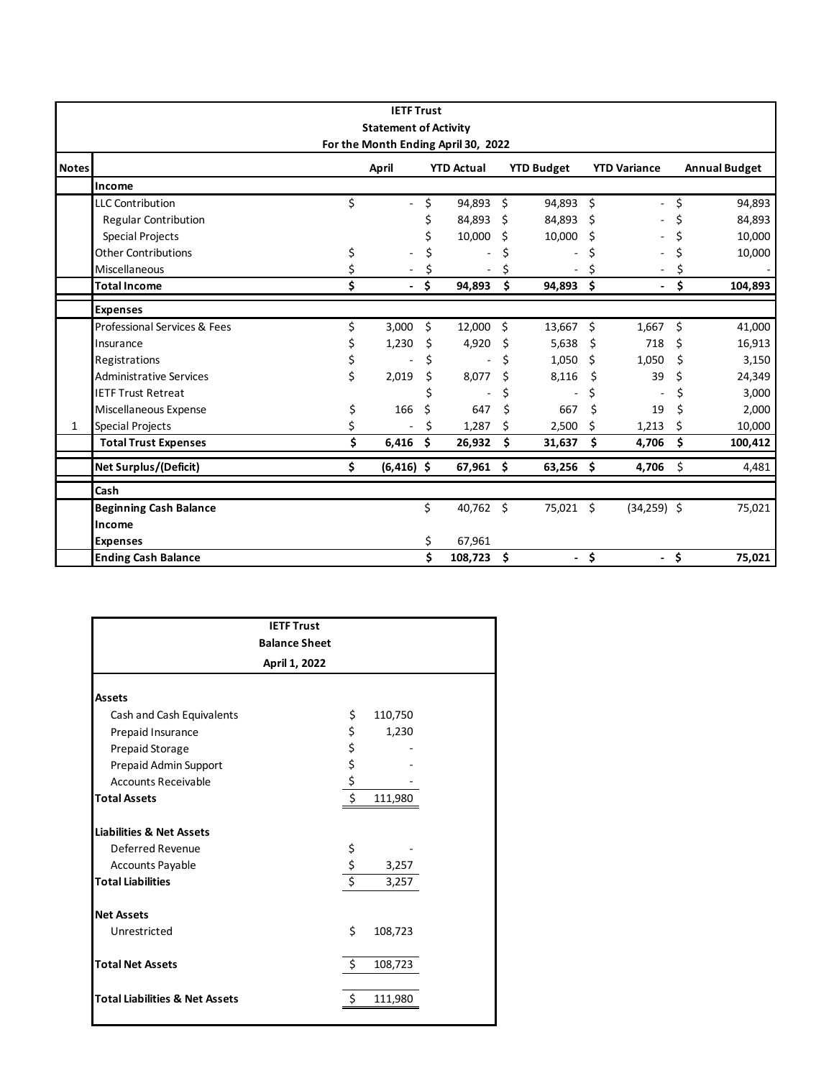|              | <b>IETF Trust</b>                                                   |                                                                                                |                |    |           |     |                          |      |                |      |         |  |  |
|--------------|---------------------------------------------------------------------|------------------------------------------------------------------------------------------------|----------------|----|-----------|-----|--------------------------|------|----------------|------|---------|--|--|
|              | <b>Statement of Activity</b><br>For the Month Ending April 30, 2022 |                                                                                                |                |    |           |     |                          |      |                |      |         |  |  |
| <b>Notes</b> |                                                                     | April<br><b>YTD Actual</b><br><b>YTD Budget</b><br><b>YTD Variance</b><br><b>Annual Budget</b> |                |    |           |     |                          |      |                |      |         |  |  |
|              | Income                                                              |                                                                                                |                |    |           |     |                          |      |                |      |         |  |  |
|              | <b>LLC Contribution</b>                                             | \$                                                                                             | $\overline{a}$ | \$ | 94,893    | \$  | 94,893                   | -\$  |                | Ś    | 94,893  |  |  |
|              | <b>Regular Contribution</b>                                         |                                                                                                |                | \$ | 84,893    | -\$ | 84,893                   | - \$ |                | \$   | 84,893  |  |  |
|              | <b>Special Projects</b>                                             |                                                                                                |                |    | 10,000    | Ś.  | 10,000                   | \$   |                | \$   | 10,000  |  |  |
|              | <b>Other Contributions</b>                                          | \$                                                                                             |                | Ś  |           | Ś   |                          |      |                | Ś    | 10,000  |  |  |
|              | Miscellaneous                                                       | \$                                                                                             |                | \$ |           |     |                          |      |                |      |         |  |  |
|              | <b>Total Income</b>                                                 | \$                                                                                             | ÷.             | \$ | 94,893    | \$  | 94,893 \$                |      | $\blacksquare$ | \$   | 104,893 |  |  |
|              | <b>Expenses</b>                                                     |                                                                                                |                |    |           |     |                          |      |                |      |         |  |  |
|              | Professional Services & Fees                                        | \$                                                                                             | 3,000          | Ś. | 12,000    | \$  | 13,667 \$                |      | 1,667          | \$   | 41,000  |  |  |
|              | Insurance                                                           | \$                                                                                             | 1,230          | \$ | 4,920     | \$  | 5,638                    | - \$ | 718            | Ś.   | 16,913  |  |  |
|              | Registrations                                                       | \$                                                                                             |                | \$ | ÷,        | Ś   | 1,050                    | Ŝ.   | 1,050          | Ś    | 3,150   |  |  |
|              | <b>Administrative Services</b>                                      | \$                                                                                             | 2,019          | \$ | 8,077     | Ś.  | 8,116                    | \$   | 39             | Ś    | 24,349  |  |  |
|              | <b>IETF Trust Retreat</b>                                           |                                                                                                |                | Ś  |           | \$  |                          | \$   |                |      | 3,000   |  |  |
|              | Miscellaneous Expense                                               | \$                                                                                             | 166            | Ś  | 647       | Ś.  | 667                      | Ś.   | 19             | Ś    | 2,000   |  |  |
| $\mathbf{1}$ | <b>Special Projects</b>                                             | \$                                                                                             |                | \$ | 1,287     | \$  | 2,500                    | \$   | 1,213          | \$   | 10,000  |  |  |
|              | <b>Total Trust Expenses</b>                                         | \$                                                                                             | $6,416$ \$     |    | 26,932    | \$  | 31,637                   | \$   | 4,706          | \$   | 100,412 |  |  |
|              | Net Surplus/(Deficit)                                               | \$                                                                                             | $(6, 416)$ \$  |    | 67,961 \$ |     | 63,256 \$                |      | 4,706          | - \$ | 4,481   |  |  |
|              | Cash                                                                |                                                                                                |                |    |           |     |                          |      |                |      |         |  |  |
|              | <b>Beginning Cash Balance</b>                                       |                                                                                                |                | \$ | 40,762 \$ |     | 75,021 \$                |      | $(34,259)$ \$  |      | 75,021  |  |  |
|              | Income                                                              |                                                                                                |                |    |           |     |                          |      |                |      |         |  |  |
|              | <b>Expenses</b>                                                     |                                                                                                |                | \$ | 67,961    |     |                          |      |                |      |         |  |  |
|              | <b>Ending Cash Balance</b>                                          |                                                                                                |                | \$ | 108,723   | -\$ | $\overline{\phantom{a}}$ | \$   | ÷.             | \$   | 75,021  |  |  |

| <b>IETF Trust</b>                         |                         |         |
|-------------------------------------------|-------------------------|---------|
| <b>Balance Sheet</b>                      |                         |         |
| April 1, 2022                             |                         |         |
|                                           |                         |         |
| <b>Assets</b>                             |                         |         |
| Cash and Cash Equivalents                 | \$                      | 110,750 |
| Prepaid Insurance                         | \$                      | 1,230   |
| <b>Prepaid Storage</b>                    | \$                      |         |
| Prepaid Admin Support                     | \$                      |         |
| <b>Accounts Receivable</b>                | \$                      |         |
| <b>Total Assets</b>                       | $\overline{\mathsf{S}}$ | 111,980 |
| <b>Liabilities &amp; Net Assets</b>       |                         |         |
| Deferred Revenue                          | \$                      |         |
| <b>Accounts Payable</b>                   | \$                      | 3,257   |
| <b>Total Liabilities</b>                  | $\overline{\xi}$        | 3,257   |
|                                           |                         |         |
| <b>Net Assets</b>                         |                         |         |
| Unrestricted                              | \$                      | 108,723 |
| <b>Total Net Assets</b>                   | $\ddot{\mathsf{S}}$     | 108,723 |
| <b>Total Liabilities &amp; Net Assets</b> | \$                      | 111,980 |
|                                           |                         |         |